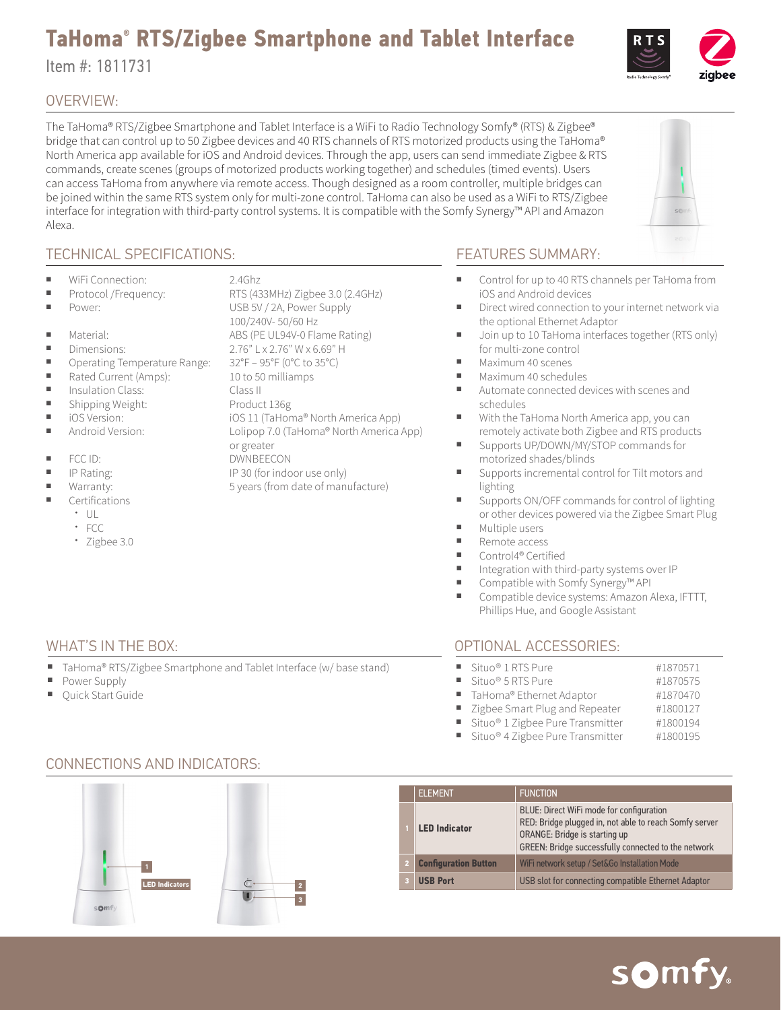## **TaHoma® RTS/Zigbee Smartphone and Tablet Interface**

Item #: 1811731

#### OVERVIEW:

The TaHoma® RTS/Zigbee Smartphone and Tablet Interface is a WiFi to Radio Technology Somfy® (RTS) & Zigbee® bridge that can control up to 50 Zigbee devices and 40 RTS channels of RTS motorized products using the TaHoma® North America app available for iOS and Android devices. Through the app, users can send immediate Zigbee & RTS commands, create scenes (groups of motorized products working together) and schedules (timed events). Users can access TaHoma from anywhere via remote access. Though designed as a room controller, multiple bridges can be joined within the same RTS system only for multi-zone control. TaHoma can also be used as a WiFi to RTS/Zigbee interface for integration with third-party control systems. It is compatible with the Somfy Synergy™ API and Amazon Alexa.

#### TECHNICAL SPECIFICATIONS:

- WiFi Connection: 2.4Ghz
- 
- 
- 
- 
- 
- 
- 
- 
- 
- 
- 
- 
- 
- **Certifications** 
	- $\cdot$  UL
	- FCC
	- Zigbee 3.0

Power Supply Quick Start Guide

■ Protocol /Frequency: RTS (433MHz) Zigbee 3.0 (2.4GHz) Power: USB 5V / 2A, Power Supply  $\blacksquare$  Material:  $\blacksquare$  Material:  $\blacksquare$  Material:  $\blacksquare$ or greater

#### FEATURES SUMMARY:

- Control for up to 40 RTS channels per TaHoma from iOS and Android devices
- Direct wired connection to your internet network via the optional Ethernet Adaptor
- Join up to 10 TaHoma interfaces together (RTS only) for multi-zone control
- Maximum 40 scenes
- Maximum 40 schedules
- Automate connected devices with scenes and schedules
- With the TaHoma North America app, you can remotely activate both Zigbee and RTS products
- Supports UP/DOWN/MY/STOP commands for motorized shades/blinds
- Supports incremental control for Tilt motors and lighting
- Supports ON/OFF commands for control of lighting or other devices powered via the Zigbee Smart Plug
- Multiple users
- Remote access ■ Control4<sup>®</sup> Certified
- Integration with third-party systems over IP
- Compatible with Somfy Synergy<sup>™</sup> API
- Compatible device systems: Amazon Alexa, IFTTT, Phillips Hue, and Google Assistant

#### WHAT'S IN THE BOX: OPTIONAL ACCESSORIES:

| Situo <sup>®</sup> 1 RTS Pure                  | #1870571 |
|------------------------------------------------|----------|
| Situo <sup>®</sup> 5 RTS Pure                  | #1870575 |
| ■ TaHoma® Ethernet Adaptor                     | #1870470 |
| " Zigbee Smart Plug and Repeater               | #1800127 |
| ■ Situo® 1 Zigbee Pure Transmitter             | #1800194 |
| ■ Situo <sup>®</sup> 4 Zigbee Pure Transmitter | #1800195 |



### CONNECTIONS AND INDICATORS:









TaHoma® RTS/Zigbee Smartphone and Tablet Interface (w/ base stand)

# ■ iOS Version: iOS 11 (TaHoma® North America App) Android Version: Lolipop 7.0 (TaHoma® North America App) Warranty:  $\frac{1}{2}$  Syears (from date of manufacture)